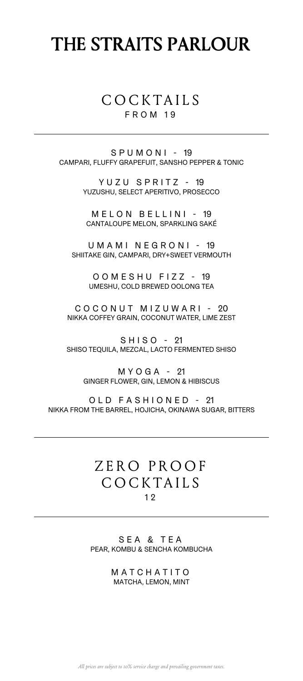# THE STRAITS PARLOUR

### COCKTAILS FROM 19

SPUMONI - 19 CAMPARI, FLUFFY GRAPEFUIT, SANSHO PEPPER & TONIC

> YUZU SPRITZ - 19 YUZUSHU, SELECT APERITIVO, PROSECCO

MELON BELLINI - 19 CANTALOUPE MELON, SPARKLING SAKÉ

UMAMI NEGRONI - 19 SHIITAKE GIN, CAMPARI, DRY+SWEET VERMOUTH

> OOMESHU FIZZ - 19 UMESHU, COLD BREWED OOLONG TEA

COCONUT MIZUWARI - 20 NIKKA COFFEY GRAIN, COCONUT WATER, LIME ZEST

SHISO - 21 SHISO TEQUILA, MEZCAL, LACTO FERMENTED SHISO

MYOGA - 21 GINGER FLOWER, GIN, LEMON & HIBISCUS

OLD FASHIONED - 21 NIKKA FROM THE BARREL, HOJICHA, OKINAWA SUGAR, BITTERS

### ZERO PROOF COCKTAILS 1 2

SEA & TEA PEAR, KOMBU & SENCHA KOMBUCHA

> MATCHATITO MATCHA, LEMON, MINT

*All prices are subject to 10% service charge and prevailing government taxes.*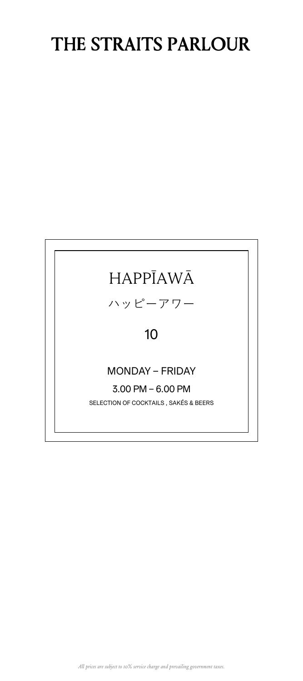# THE STRAITS PARLOUR

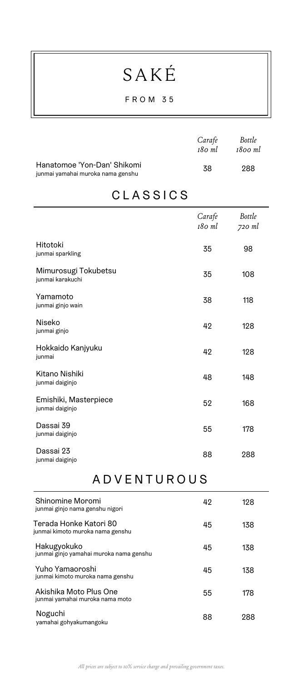# SAKÉ

#### FROM 35

|                                                                  | Carafe<br>180 ml | Bottle<br>1800 ml |
|------------------------------------------------------------------|------------------|-------------------|
| Hanatomoe 'Yon-Dan' Shikomi<br>junmai yamahai muroka nama genshu | 38               | 288               |

### CLASSICS

|                                          | Carafe<br>180 ml | <b>Bottle</b><br>720 ml |
|------------------------------------------|------------------|-------------------------|
| Hitotoki<br>junmai sparkling             | 35               | 98                      |
| Mimurosugi Tokubetsu<br>junmai karakuchi | 35               | 108                     |
| Yamamoto<br>junmai ginjo wain            | 38               | 118                     |
| Niseko<br>junmai ginjo                   | 42               | 128                     |
| Hokkaido Kanjyuku<br>junmai              | 42               | 128                     |
| Kitano Nishiki<br>junmai daiginjo        | 48               | 148                     |
| Emishiki, Masterpiece<br>junmai daiginjo | 52               | 168                     |
| Dassai 39<br>junmai daiginjo             | 55               | 178                     |
| Dassai 23<br>junmai daiginjo             | 88               | 288                     |

### ADVENTUROUS

| Shinomine Moromi<br>junmai ginjo nama genshu nigori        | 42 | 128 |
|------------------------------------------------------------|----|-----|
| Terada Honke Katori 80<br>junmai kimoto muroka nama genshu | 45 | 138 |
| Hakugyokuko<br>junmai ginjo yamahai muroka nama genshu     | 45 | 138 |
| Yuho Yamaoroshi<br>junmai kimoto muroka nama genshu        | 45 | 138 |
| Akishika Moto Plus One<br>junmai yamahai muroka nama moto  | 55 | 178 |
| Noguchi<br>yamahai gohyakumangoku                          | 88 | 288 |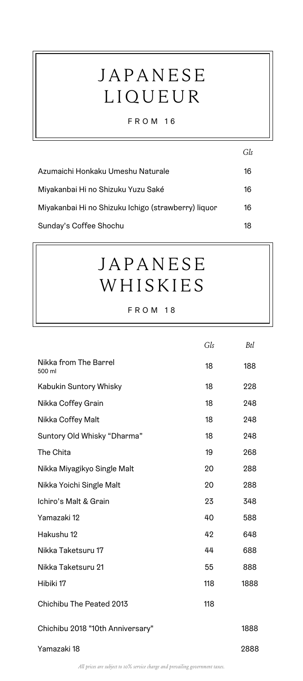# JAPANESE LIQUEUR

#### FROM 16

|                                                     | Gls |
|-----------------------------------------------------|-----|
| Azumaichi Honkaku Umeshu Naturale                   | 16  |
| Miyakanbai Hi no Shizuku Yuzu Saké                  | 16  |
| Miyakanbai Hi no Shizuku Ichigo (strawberry) liquor | 16  |
| Sunday's Coffee Shochu                              | 18  |

## JAPANESE WHISKIES

|                                  | Gls | Btl  |
|----------------------------------|-----|------|
| Nikka from The Barrel<br>500 ml  | 18  | 188  |
| Kabukin Suntory Whisky           | 18  | 228  |
| Nikka Coffey Grain               | 18  | 248  |
| Nikka Coffey Malt                | 18  | 248  |
| Suntory Old Whisky "Dharma"      | 18  | 248  |
| The Chita                        | 19  | 268  |
| Nikka Miyagikyo Single Malt      | 20  | 288  |
| Nikka Yoichi Single Malt         | 20  | 288  |
| Ichiro's Malt & Grain            | 23  | 348  |
| Yamazaki 12                      | 40  | 588  |
| Hakushu 12                       | 42  | 648  |
| Nikka Taketsuru 17               | 44  | 688  |
| Nikka Taketsuru 21               | 55  | 888  |
| Hibiki 17                        | 118 | 1888 |
| Chichibu The Peated 2013         | 118 |      |
| Chichibu 2018 "10th Anniversary" |     | 1888 |
| Yamazaki 18                      |     | 2888 |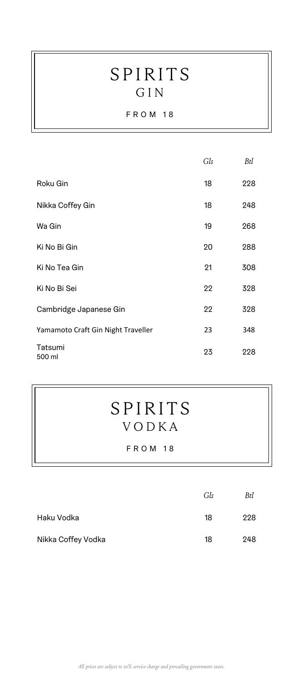## SPIRITS GIN

#### FROM 18

|                                    | Gls | Btl |
|------------------------------------|-----|-----|
| Roku Gin                           | 18  | 228 |
| Nikka Coffey Gin                   | 18  | 248 |
| Wa Gin                             | 19  | 268 |
| Ki No Bi Gin                       | 20  | 288 |
| Ki No Tea Gin                      | 21  | 308 |
| Ki No Bi Sei                       | 22  | 328 |
| Cambridge Japanese Gin             | 22  | 328 |
| Yamamoto Craft Gin Night Traveller | 23  | 348 |
| Tatsumi<br>500 ml                  | 23  | 228 |

## SPIRITS VODKA

|                    | Gls | Btl |
|--------------------|-----|-----|
| Haku Vodka         | 18  | 228 |
| Nikka Coffey Vodka | 18  | 248 |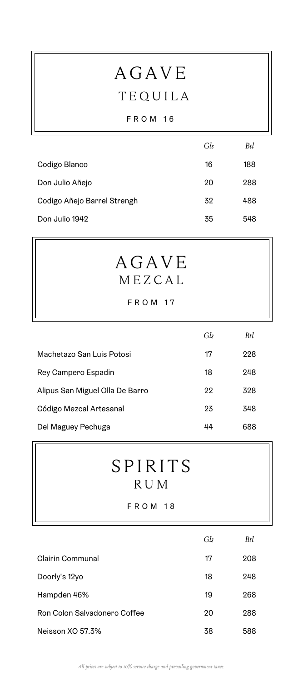# AGAVE TEQUILA

#### FROM 16

|                             | Gls | Btl |
|-----------------------------|-----|-----|
| Codigo Blanco               | 16  | 188 |
| Don Julio Añejo             | 20  | 288 |
| Codigo Añejo Barrel Strengh | 32  | 488 |
| Don Julio 1942              | 35  | 548 |

## AGAVE MEZCAL

#### FROM 17

|                                 | Gls | Btl |
|---------------------------------|-----|-----|
| Machetazo San Luis Potosi       | 17  | 228 |
| Rey Campero Espadin             | 18  | 248 |
| Alipus San Miguel Olla De Barro | 22  | 328 |
| Código Mezcal Artesanal         | 23  | 348 |
| Del Maguey Pechuga              | 44  | 688 |

## SPIRITS RUM

|                              | Gls | Btl |
|------------------------------|-----|-----|
| Clairin Communal             | 17  | 208 |
| Doorly's 12yo                | 18  | 248 |
| Hampden 46%                  | 19  | 268 |
| Ron Colon Salvadonero Coffee | 20  | 288 |
| Neisson XO 57.3%             | 38  | 588 |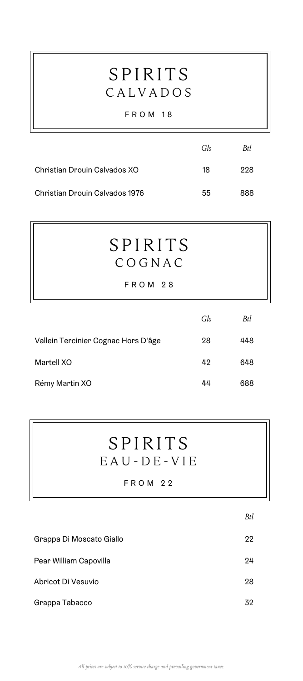## SPIRITS CALVADOS

#### FROM 18

|                                | Gls | Btl |
|--------------------------------|-----|-----|
| Christian Drouin Calvados XO   | 18  | 228 |
| Christian Drouin Calvados 1976 | 55  | 888 |

## SPIRITS COGNAC

FROM 28

|                                     | Gls | Btl |
|-------------------------------------|-----|-----|
| Vallein Tercinier Cognac Hors D'âge | 28  | 448 |
| Martell XO                          | 42  | 648 |
| Rémy Martin XO                      | 44  | 688 |

## SPIRITS EAU - D E - VIE

|                          | Btl |
|--------------------------|-----|
| Grappa Di Moscato Giallo | 22  |
| Pear William Capovilla   | 24  |
| Abricot Di Vesuvio       | 28  |
| Grappa Tabacco           | 32  |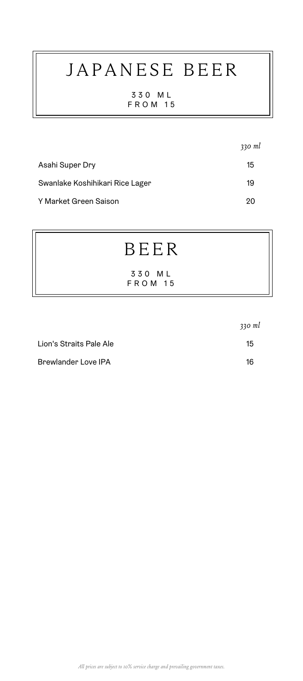# JAPANESE BEER

330 ML FROM 15

|                                 | $330$ ml |
|---------------------------------|----------|
| Asahi Super Dry                 | 15       |
| Swanlake Koshihikari Rice Lager | 19       |
| Y Market Green Saison           | 20       |

# BEER

330 ML FROM 15

|                         | $330$ ml |
|-------------------------|----------|
| Lion's Straits Pale Ale | 15       |
| Brewlander Love IPA     | 16       |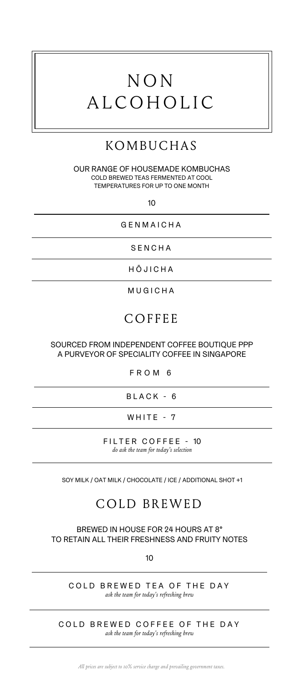# NON ALCOHOLIC

## KOMBUCHAS

OUR RANGE OF HOUSEMADE KOMBUCHAS COLD BREWED TEAS FERMENTED AT COOL TEMPERATURES FOR UP TO ONE MONTH

10

GENMAICHA

SENCHA

H Ō JICHA

MUGICHA

### **COFFEE**

#### SOURCED FROM INDEPENDENT COFFEE BOUTIQUE PPP A PURVEYOR OF SPECIALITY COFFEE IN SINGAPORE

#### FROM 6

BLACK - 6

WHITE - 7

FILTER COFFEE - 10 *do ask the team for today's selection*

SOY MILK / OAT MILK / CHOCOLATE / ICE / ADDITIONAL SHOT +1

### COLD BREWED

BREWED IN HOUSE FOR 24 HOURS AT 8° TO RETAIN ALL THEIR FRESHNESS AND FRUITY NOTES

10

COLD BREWED TEA OF THE DAY *ask the team for today's refreshing brew*

COLD BREWED COFFEE OF THE DAY *ask the team for today's refreshing brew*

*All prices are subject to 10% service charge and prevailing government taxes.*